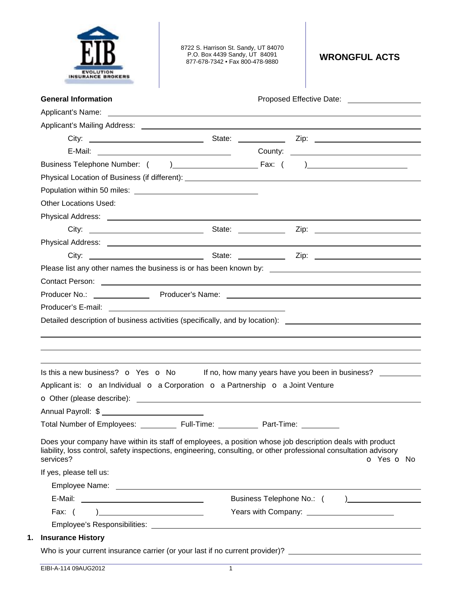

8722 S. Harrison St. Sandy, UT 84070 P.O. Box 4439 Sandy, UT 84091 877-678-7342 • Fax 800-478-9880 **WRONGFUL ACTS** 

| <b>General Information</b>                                                                                                                                                                                                                  |            |            | Proposed Effective Date: _____________________ |
|---------------------------------------------------------------------------------------------------------------------------------------------------------------------------------------------------------------------------------------------|------------|------------|------------------------------------------------|
|                                                                                                                                                                                                                                             |            |            |                                                |
|                                                                                                                                                                                                                                             |            |            |                                                |
|                                                                                                                                                                                                                                             |            |            |                                                |
|                                                                                                                                                                                                                                             |            |            |                                                |
|                                                                                                                                                                                                                                             |            |            |                                                |
|                                                                                                                                                                                                                                             |            |            |                                                |
|                                                                                                                                                                                                                                             |            |            |                                                |
| <b>Other Locations Used:</b>                                                                                                                                                                                                                |            |            |                                                |
|                                                                                                                                                                                                                                             |            |            |                                                |
|                                                                                                                                                                                                                                             |            |            |                                                |
|                                                                                                                                                                                                                                             |            |            |                                                |
|                                                                                                                                                                                                                                             |            |            |                                                |
|                                                                                                                                                                                                                                             |            |            |                                                |
| Contact Person: example and the contract of the contract of the contract of the contract Person:                                                                                                                                            |            |            |                                                |
|                                                                                                                                                                                                                                             |            |            |                                                |
|                                                                                                                                                                                                                                             |            |            |                                                |
| Detailed description of business activities (specifically, and by location): _________________________________                                                                                                                              |            |            |                                                |
|                                                                                                                                                                                                                                             |            |            |                                                |
| Is this a new business? $\bullet$ Yes $\bullet$ No If no, how many years have you been in business?                                                                                                                                         |            |            |                                                |
| Applicant is: o an Individual o a Corporation o a Partnership o a Joint Venture                                                                                                                                                             |            |            |                                                |
|                                                                                                                                                                                                                                             |            |            |                                                |
|                                                                                                                                                                                                                                             |            |            |                                                |
| Total Number of Employees:                                                                                                                                                                                                                  | Full-Time: | Part-Time: |                                                |
| Does your company have within its staff of employees, a position whose job description deals with product<br>liability, loss control, safety inspections, engineering, consulting, or other professional consultation advisory<br>services? |            |            |                                                |
|                                                                                                                                                                                                                                             |            |            |                                                |
| If yes, please tell us:                                                                                                                                                                                                                     |            |            |                                                |
|                                                                                                                                                                                                                                             |            |            |                                                |
|                                                                                                                                                                                                                                             |            |            |                                                |
| Fax: $( )$                                                                                                                                                                                                                                  |            |            | O Yes O No                                     |
| <b>Insurance History</b>                                                                                                                                                                                                                    |            |            |                                                |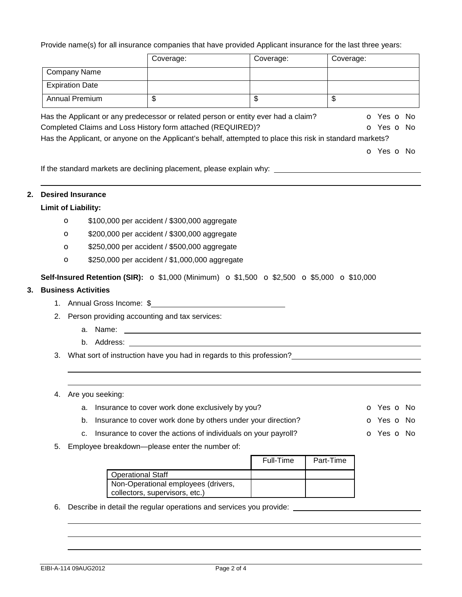Provide name(s) for all insurance companies that have provided Applicant insurance for the last three years:

|    |                            | Coverage:                                                                                             | Coverage:                                                                                                                                                                                       | Coverage:                                                                                                                                      |
|----|----------------------------|-------------------------------------------------------------------------------------------------------|-------------------------------------------------------------------------------------------------------------------------------------------------------------------------------------------------|------------------------------------------------------------------------------------------------------------------------------------------------|
|    | <b>Company Name</b>        |                                                                                                       |                                                                                                                                                                                                 |                                                                                                                                                |
|    | <b>Expiration Date</b>     |                                                                                                       |                                                                                                                                                                                                 |                                                                                                                                                |
|    | <b>Annual Premium</b>      | \$                                                                                                    | $\overline{\mathbb{S}}$                                                                                                                                                                         | $\mathbb{S}$                                                                                                                                   |
|    |                            | Completed Claims and Loss History form attached (REQUIRED)?                                           | Has the Applicant or any predecessor or related person or entity ever had a claim?<br>Has the Applicant, or anyone on the Applicant's behalf, attempted to place this risk in standard markets? | o Yes o No<br>O Yes O No<br>o Yes o No                                                                                                         |
|    |                            |                                                                                                       |                                                                                                                                                                                                 | If the standard markets are declining placement, please explain why: _______________________________                                           |
|    | <b>Desired Insurance</b>   |                                                                                                       |                                                                                                                                                                                                 |                                                                                                                                                |
|    | <b>Limit of Liability:</b> |                                                                                                       |                                                                                                                                                                                                 |                                                                                                                                                |
|    | $\circ$                    | \$100,000 per accident / \$300,000 aggregate                                                          |                                                                                                                                                                                                 |                                                                                                                                                |
|    | $\circ$                    | \$200,000 per accident / \$300,000 aggregate                                                          |                                                                                                                                                                                                 |                                                                                                                                                |
|    | $\mathbf{o}$               | \$250,000 per accident / \$500,000 aggregate                                                          |                                                                                                                                                                                                 |                                                                                                                                                |
|    | $\mathbf{o}$               | \$250,000 per accident / \$1,000,000 aggregate                                                        |                                                                                                                                                                                                 |                                                                                                                                                |
|    | <b>Business Activities</b> | 1. Annual Gross Income: \$<br>2. Person providing accounting and tax services:                        |                                                                                                                                                                                                 |                                                                                                                                                |
|    |                            |                                                                                                       |                                                                                                                                                                                                 |                                                                                                                                                |
|    |                            |                                                                                                       |                                                                                                                                                                                                 |                                                                                                                                                |
|    |                            |                                                                                                       |                                                                                                                                                                                                 | 3. What sort of instruction have you had in regards to this profession?<br>The sort of instruction have you had in regards to this profession? |
|    | 4. Are you seeking:        |                                                                                                       |                                                                                                                                                                                                 |                                                                                                                                                |
|    | a.                         | Insurance to cover work done exclusively by you?                                                      |                                                                                                                                                                                                 |                                                                                                                                                |
|    | b.                         | Insurance to cover work done by others under your direction?                                          |                                                                                                                                                                                                 |                                                                                                                                                |
|    | c.                         | Insurance to cover the actions of individuals on your payroll?                                        |                                                                                                                                                                                                 | O Yes O No<br>o Yes o No<br>o Yes o No                                                                                                         |
| 5. |                            | Employee breakdown-please enter the number of:                                                        | Full-Time                                                                                                                                                                                       | Part-Time                                                                                                                                      |
|    |                            | <b>Operational Staff</b><br>Non-Operational employees (drivers,                                       |                                                                                                                                                                                                 |                                                                                                                                                |
| 6. |                            | collectors, supervisors, etc.)<br>Describe in detail the regular operations and services you provide: |                                                                                                                                                                                                 |                                                                                                                                                |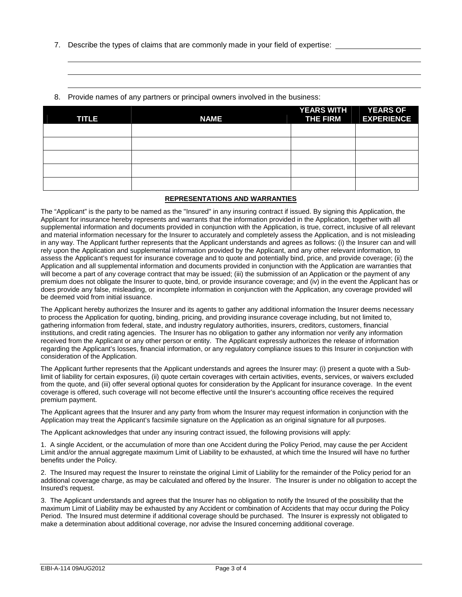7. Describe the types of claims that are commonly made in your field of expertise:

|  | 8. Provide names of any partners or principal owners involved in the business: |  |
|--|--------------------------------------------------------------------------------|--|
|  | <b>YEARS WITH</b>                                                              |  |

| <b>TITLE</b> | <b>NAME</b> | YEARS WITH YEARS OF<br><b>THE FIRM</b> | <b>EXPERIENCE</b> |
|--------------|-------------|----------------------------------------|-------------------|
|              |             |                                        |                   |
|              |             |                                        |                   |
|              |             |                                        |                   |
|              |             |                                        |                   |
|              |             |                                        |                   |

## **REPRESENTATIONS AND WARRANTIES**

The "Applicant" is the party to be named as the "Insured" in any insuring contract if issued. By signing this Application, the Applicant for insurance hereby represents and warrants that the information provided in the Application, together with all supplemental information and documents provided in conjunction with the Application, is true, correct, inclusive of all relevant and material information necessary for the Insurer to accurately and completely assess the Application, and is not misleading in any way. The Applicant further represents that the Applicant understands and agrees as follows: (i) the Insurer can and will rely upon the Application and supplemental information provided by the Applicant, and any other relevant information, to assess the Applicant's request for insurance coverage and to quote and potentially bind, price, and provide coverage; (ii) the Application and all supplemental information and documents provided in conjunction with the Application are warranties that will become a part of any coverage contract that may be issued; (iii) the submission of an Application or the payment of any premium does not obligate the Insurer to quote, bind, or provide insurance coverage; and (iv) in the event the Applicant has or does provide any false, misleading, or incomplete information in conjunction with the Application, any coverage provided will be deemed void from initial issuance.

The Applicant hereby authorizes the Insurer and its agents to gather any additional information the Insurer deems necessary to process the Application for quoting, binding, pricing, and providing insurance coverage including, but not limited to, gathering information from federal, state, and industry regulatory authorities, insurers, creditors, customers, financial institutions, and credit rating agencies. The Insurer has no obligation to gather any information nor verify any information received from the Applicant or any other person or entity. The Applicant expressly authorizes the release of information regarding the Applicant's losses, financial information, or any regulatory compliance issues to this Insurer in conjunction with consideration of the Application.

The Applicant further represents that the Applicant understands and agrees the Insurer may: (i) present a quote with a Sublimit of liability for certain exposures, (ii) quote certain coverages with certain activities, events, services, or waivers excluded from the quote, and (iii) offer several optional quotes for consideration by the Applicant for insurance coverage. In the event coverage is offered, such coverage will not become effective until the Insurer's accounting office receives the required premium payment.

The Applicant agrees that the Insurer and any party from whom the Insurer may request information in conjunction with the Application may treat the Applicant's facsimile signature on the Application as an original signature for all purposes.

The Applicant acknowledges that under any insuring contract issued, the following provisions will apply:

1. A single Accident, or the accumulation of more than one Accident during the Policy Period, may cause the per Accident Limit and/or the annual aggregate maximum Limit of Liability to be exhausted, at which time the Insured will have no further benefits under the Policy.

2. The Insured may request the Insurer to reinstate the original Limit of Liability for the remainder of the Policy period for an additional coverage charge, as may be calculated and offered by the Insurer. The Insurer is under no obligation to accept the Insured's request.

3. The Applicant understands and agrees that the Insurer has no obligation to notify the Insured of the possibility that the maximum Limit of Liability may be exhausted by any Accident or combination of Accidents that may occur during the Policy Period. The Insured must determine if additional coverage should be purchased. The Insurer is expressly not obligated to make a determination about additional coverage, nor advise the Insured concerning additional coverage.